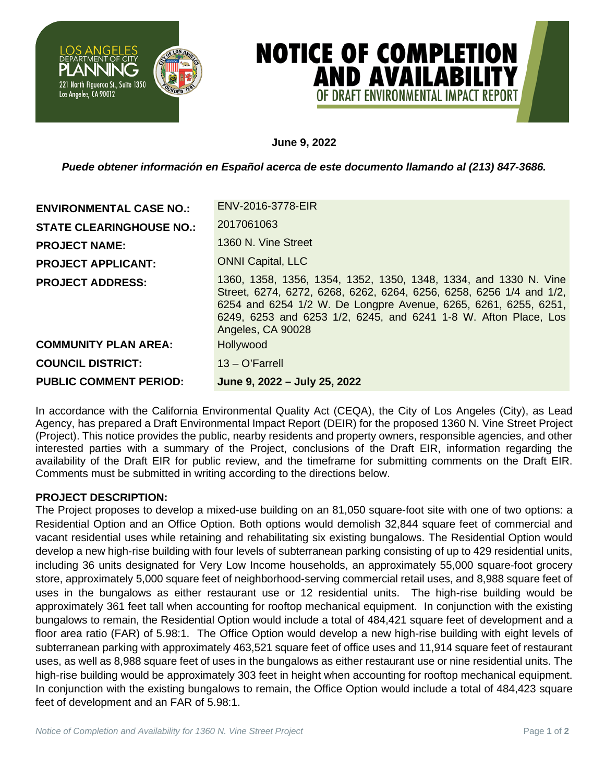

# **NOTICE OF COMPLETION AND AVAILABILITY** OF DRAFT FNVIRONMFNTAL IMPACT R

## **June 9, 2022**

*Puede obtener información en Español acerca de este documento llamando al (213) 847-3686.*

| <b>ENVIRONMENTAL CASE NO.:</b>  | ENV-2016-3778-EIR                                                                                                                                                                                                                                                                                  |
|---------------------------------|----------------------------------------------------------------------------------------------------------------------------------------------------------------------------------------------------------------------------------------------------------------------------------------------------|
| <b>STATE CLEARINGHOUSE NO.:</b> | 2017061063                                                                                                                                                                                                                                                                                         |
| <b>PROJECT NAME:</b>            | 1360 N. Vine Street                                                                                                                                                                                                                                                                                |
| <b>PROJECT APPLICANT:</b>       | <b>ONNI Capital, LLC</b>                                                                                                                                                                                                                                                                           |
| <b>PROJECT ADDRESS:</b>         | 1360, 1358, 1356, 1354, 1352, 1350, 1348, 1334, and 1330 N. Vine<br>Street, 6274, 6272, 6268, 6262, 6264, 6256, 6258, 6256 1/4 and 1/2,<br>6254 and 6254 1/2 W. De Longpre Avenue, 6265, 6261, 6255, 6251,<br>6249, 6253 and 6253 1/2, 6245, and 6241 1-8 W. Afton Place, Los<br>Angeles, CA 90028 |
| <b>COMMUNITY PLAN AREA:</b>     | Hollywood                                                                                                                                                                                                                                                                                          |
| <b>COUNCIL DISTRICT:</b>        | $13 - O'Farrell$                                                                                                                                                                                                                                                                                   |
| <b>PUBLIC COMMENT PERIOD:</b>   | June 9, 2022 - July 25, 2022                                                                                                                                                                                                                                                                       |

In accordance with the California Environmental Quality Act (CEQA), the City of Los Angeles (City), as Lead Agency, has prepared a Draft Environmental Impact Report (DEIR) for the proposed 1360 N. Vine Street Project (Project). This notice provides the public, nearby residents and property owners, responsible agencies, and other interested parties with a summary of the Project, conclusions of the Draft EIR, information regarding the availability of the Draft EIR for public review, and the timeframe for submitting comments on the Draft EIR. Comments must be submitted in writing according to the directions below.

## **PROJECT DESCRIPTION:**

The Project proposes to develop a mixed-use building on an 81,050 square-foot site with one of two options: a Residential Option and an Office Option. Both options would demolish 32,844 square feet of commercial and vacant residential uses while retaining and rehabilitating six existing bungalows. The Residential Option would develop a new high-rise building with four levels of subterranean parking consisting of up to 429 residential units, including 36 units designated for Very Low Income households, an approximately 55,000 square-foot grocery store, approximately 5,000 square feet of neighborhood-serving commercial retail uses, and 8,988 square feet of uses in the bungalows as either restaurant use or 12 residential units. The high-rise building would be approximately 361 feet tall when accounting for rooftop mechanical equipment. In conjunction with the existing bungalows to remain, the Residential Option would include a total of 484,421 square feet of development and a floor area ratio (FAR) of 5.98:1. The Office Option would develop a new high-rise building with eight levels of subterranean parking with approximately 463,521 square feet of office uses and 11,914 square feet of restaurant uses, as well as 8,988 square feet of uses in the bungalows as either restaurant use or nine residential units. The high-rise building would be approximately 303 feet in height when accounting for rooftop mechanical equipment. In conjunction with the existing bungalows to remain, the Office Option would include a total of 484,423 square feet of development and an FAR of 5.98:1.